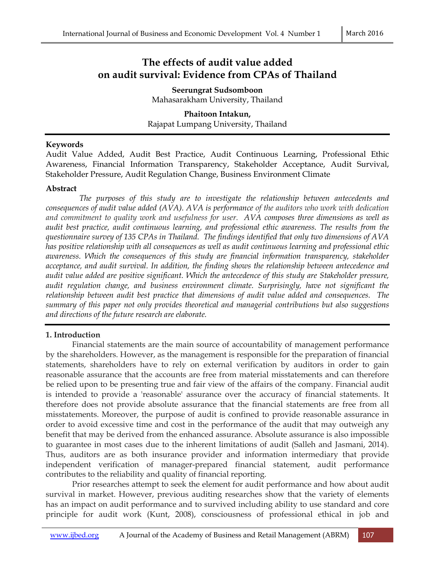# **The effects of audit value added on audit survival: Evidence from CPAs of Thailand**

**Seerungrat Sudsomboon**  Mahasarakham University, Thailand

**Phaitoon Intakun,** Rajapat Lumpang University, Thailand

#### **Keywords**

Audit Value Added, Audit Best Practice, Audit Continuous Learning, Professional Ethic Awareness, Financial Information Transparency, Stakeholder Acceptance, Audit Survival, Stakeholder Pressure, Audit Regulation Change, Business Environment Climate

#### **Abstract**

*The purposes of this study are to investigate the relationship between antecedents and consequences of audit value added (AVA). AVA is performance of the auditors who work with dedication and commitment to quality work and usefulness for user. AVA composes three dimensions as well as audit best practice, audit continuous learning, and professional ethic awareness. The results from the questionnaire survey of 135 CPAs in Thailand. The findings identified that only two dimensions of AVA has positive relationship with all consequences as well as audit continuous learning and professional ethic awareness. Which the consequences of this study are financial information transparency, stakeholder acceptance, and audit survival. In addition, the finding shows the relationship between antecedence and audit value added are positive significant. Which the antecedence of this study are Stakeholder pressure, audit regulation change, and business environment climate. Surprisingly, have not significant the relationship between audit best practice that dimensions of audit value added and consequences. The summary of this paper not only provides theoretical and managerial contributions but also suggestions and directions of the future research are elaborate.* 

#### **1. Introduction**

Financial statements are the main source of accountability of management performance by the shareholders. However, as the management is responsible for the preparation of financial statements, shareholders have to rely on external verification by auditors in order to gain reasonable assurance that the accounts are free from material misstatements and can therefore be relied upon to be presenting true and fair view of the affairs of the company. Financial audit is intended to provide a 'reasonable' assurance over the accuracy of financial statements. It therefore does not provide absolute assurance that the financial statements are free from all misstatements. Moreover, the purpose of audit is confined to provide reasonable assurance in order to avoid excessive time and cost in the performance of the audit that may outweigh any benefit that may be derived from the enhanced assurance. Absolute assurance is also impossible to guarantee in most cases due to the inherent limitations of audit (Salleh and Jasmani, 2014). Thus, auditors are as both insurance provider and information intermediary that provide independent verification of manager-prepared financial statement, audit performance contributes to the reliability and quality of financial reporting.

Prior researches attempt to seek the element for audit performance and how about audit survival in market. However, previous auditing researches show that the variety of elements has an impact on audit performance and to survived including ability to use standard and core principle for audit work (Kunt, 2008), consciousness of professional ethical in job and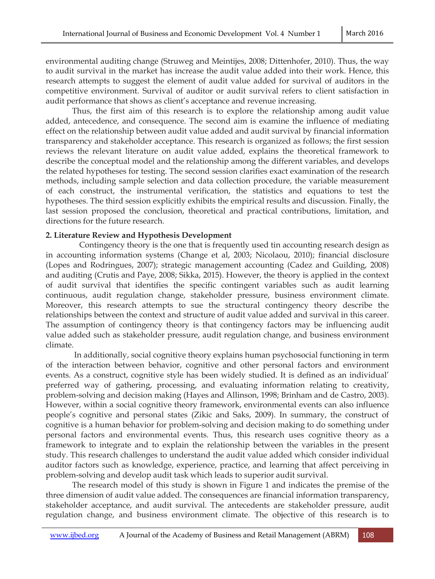environmental auditing change (Struweg and Meintijes, 2008; Dittenhofer, 2010). Thus, the way to audit survival in the market has increase the audit value added into their work. Hence, this research attempts to suggest the element of audit value added for survival of auditors in the competitive environment. Survival of auditor or audit survival refers to client satisfaction in audit performance that shows as client's acceptance and revenue increasing.

Thus, the first aim of this research is to explore the relationship among audit value added, antecedence, and consequence. The second aim is examine the influence of mediating effect on the relationship between audit value added and audit survival by financial information transparency and stakeholder acceptance. This research is organized as follows; the first session reviews the relevant literature on audit value added, explains the theoretical framework to describe the conceptual model and the relationship among the different variables, and develops the related hypotheses for testing. The second session clarifies exact examination of the research methods, including sample selection and data collection procedure, the variable measurement of each construct, the instrumental verification, the statistics and equations to test the hypotheses. The third session explicitly exhibits the empirical results and discussion. Finally, the last session proposed the conclusion, theoretical and practical contributions, limitation, and directions for the future research.

#### **2. Literature Review and Hypothesis Development**

Contingency theory is the one that is frequently used tin accounting research design as in accounting information systems (Change et al, 2003; Nicolaou, 2010); financial disclosure (Lopes and Rodringues, 2007); strategic management accounting (Cadez and Guilding, 2008) and auditing (Crutis and Paye, 2008; Sikka, 2015). However, the theory is applied in the context of audit survival that identifies the specific contingent variables such as audit learning continuous, audit regulation change, stakeholder pressure, business environment climate. Moreover, this research attempts to sue the structural contingency theory describe the relationships between the context and structure of audit value added and survival in this career. The assumption of contingency theory is that contingency factors may be influencing audit value added such as stakeholder pressure, audit regulation change, and business environment climate.

 In additionally, social cognitive theory explains human psychosocial functioning in term of the interaction between behavior, cognitive and other personal factors and environment events. As a construct, cognitive style has been widely studied. It is defined as an individual' preferred way of gathering, processing, and evaluating information relating to creativity, problem-solving and decision making (Hayes and Allinson, 1998; Brinham and de Castro, 2003). However, within a social cognitive theory framework, environmental events can also influence people's cognitive and personal states (Zikic and Saks, 2009). In summary, the construct of cognitive is a human behavior for problem-solving and decision making to do something under personal factors and environmental events. Thus, this research uses cognitive theory as a framework to integrate and to explain the relationship between the variables in the present study. This research challenges to understand the audit value added which consider individual auditor factors such as knowledge, experience, practice, and learning that affect perceiving in problem-solving and develop audit task which leads to superior audit survival.

The research model of this study is shown in Figure 1 and indicates the premise of the three dimension of audit value added. The consequences are financial information transparency, stakeholder acceptance, and audit survival. The antecedents are stakeholder pressure, audit regulation change, and business environment climate. The objective of this research is to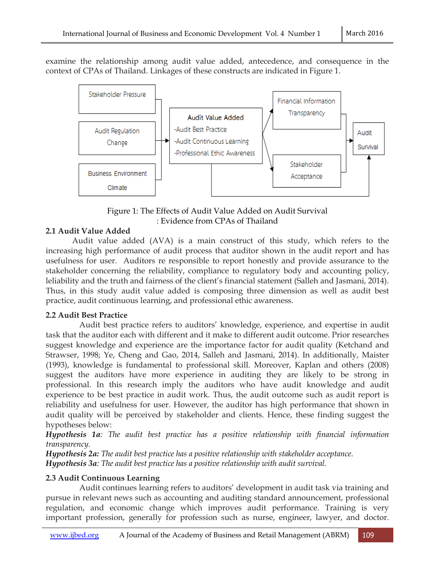examine the relationship among audit value added, antecedence, and consequence in the context of CPAs of Thailand. Linkages of these constructs are indicated in Figure 1.



Figure 1: The Effects of Audit Value Added on Audit Survival : Evidence from CPAs of Thailand

## **2.1 Audit Value Added**

Audit value added (AVA) is a main construct of this study, which refers to the increasing high performance of audit process that auditor shown in the audit report and has usefulness for user. Auditors re responsible to report honestly and provide assurance to the stakeholder concerning the reliability, compliance to regulatory body and accounting policy, leliability and the truth and fairness of the client's financial statement (Salleh and Jasmani, 2014). Thus, in this study audit value added is composing three dimension as well as audit best practice, audit continuous learning, and professional ethic awareness.

## **2.2 Audit Best Practice**

Audit best practice refers to auditors' knowledge, experience, and expertise in audit task that the auditor each with different and it make to different audit outcome. Prior researches suggest knowledge and experience are the importance factor for audit quality (Ketchand and Strawser, 1998; Ye, Cheng and Gao, 2014, Salleh and Jasmani, 2014). In additionally, Maister (1993), knowledge is fundamental to professional skill. Moreover, Kaplan and others (2008) suggest the auditors have more experience in auditing they are likely to be strong in professional. In this research imply the auditors who have audit knowledge and audit experience to be best practice in audit work. Thus, the audit outcome such as audit report is reliability and usefulness for user. However, the auditor has high performance that shown in audit quality will be perceived by stakeholder and clients. Hence, these finding suggest the hypotheses below:

*Hypothesis 1a: The audit best practice has a positive relationship with financial information transparency.* 

*Hypothesis 2a: The audit best practice has a positive relationship with stakeholder acceptance. Hypothesis 3a: The audit best practice has a positive relationship with audit survival.* 

## **2.3 Audit Continuous Learning**

 Audit continues learning refers to auditors' development in audit task via training and pursue in relevant news such as accounting and auditing standard announcement, professional regulation, and economic change which improves audit performance. Training is very important profession, generally for profession such as nurse, engineer, lawyer, and doctor.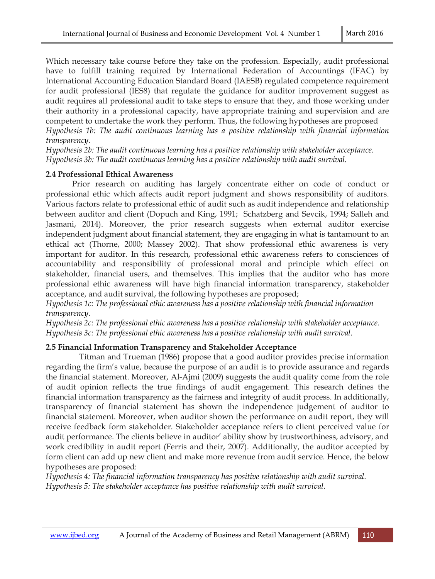Which necessary take course before they take on the profession. Especially, audit professional have to fulfill training required by International Federation of Accountings (IFAC) by International Accounting Education Standard Board (IAESB) regulated competence requirement for audit professional (IES8) that regulate the guidance for auditor improvement suggest as audit requires all professional audit to take steps to ensure that they, and those working under their authority in a professional capacity, have appropriate training and supervision and are competent to undertake the work they perform. Thus, the following hypotheses are proposed *Hypothesis 1b: The audit continuous learning has a positive relationship with financial information* 

*transparency.* 

*Hypothesis 2b: The audit continuous learning has a positive relationship with stakeholder acceptance. Hypothesis 3b: The audit continuous learning has a positive relationship with audit survival.* 

## **2.4 Professional Ethical Awareness**

Prior research on auditing has largely concentrate either on code of conduct or professional ethic which affects audit report judgment and shows responsibility of auditors. Various factors relate to professional ethic of audit such as audit independence and relationship between auditor and client (Dopuch and King, 1991; Schatzberg and Sevcik, 1994; Salleh and Jasmani, 2014). Moreover, the prior research suggests when external auditor exercise independent judgment about financial statement, they are engaging in what is tantamount to an ethical act (Thorne, 2000; Massey 2002). That show professional ethic awareness is very important for auditor. In this research, professional ethic awareness refers to consciences of accountability and responsibility of professional moral and principle which effect on stakeholder, financial users, and themselves. This implies that the auditor who has more professional ethic awareness will have high financial information transparency, stakeholder acceptance, and audit survival, the following hypotheses are proposed;

*Hypothesis 1c: The professional ethic awareness has a positive relationship with financial information transparency.* 

*Hypothesis 2c: The professional ethic awareness has a positive relationship with stakeholder acceptance. Hypothesis 3c: The professional ethic awareness has a positive relationship with audit survival.* 

## **2.5 Financial Information Transparency and Stakeholder Acceptance**

 Titman and Trueman (1986) propose that a good auditor provides precise information regarding the firm's value, because the purpose of an audit is to provide assurance and regards the financial statement. Moreover, Al-Ajmi (2009) suggests the audit quality come from the role of audit opinion reflects the true findings of audit engagement. This research defines the financial information transparency as the fairness and integrity of audit process. In additionally, transparency of financial statement has shown the independence judgement of auditor to financial statement. Moreover, when auditor shown the performance on audit report, they will receive feedback form stakeholder. Stakeholder acceptance refers to client perceived value for audit performance. The clients believe in auditor' ability show by trustworthiness, advisory, and work credibility in audit report (Ferris and their, 2007). Additionally, the auditor accepted by form client can add up new client and make more revenue from audit service. Hence, the below hypotheses are proposed:

*Hypothesis 4: The financial information transparency has positive relationship with audit survival. Hypothesis 5: The stakeholder acceptance has positive relationship with audit survival.*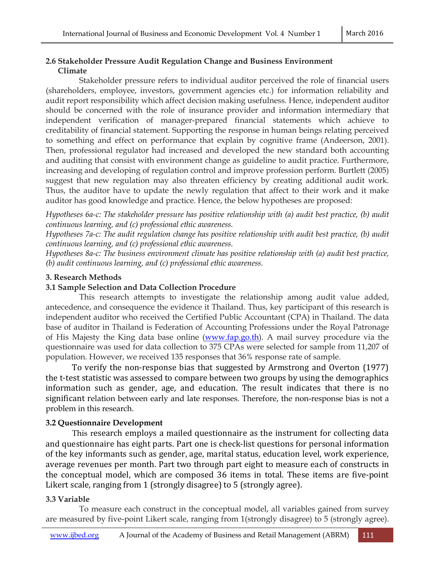### **2.6 Stakeholder Pressure Audit Regulation Change and Business Environment Climate**

Stakeholder pressure refers to individual auditor perceived the role of financial users (shareholders, employee, investors, government agencies etc.) for information reliability and audit report responsibility which affect decision making usefulness. Hence, independent auditor should be concerned with the role of insurance provider and information intermediary that independent verification of manager-prepared financial statements which achieve to creditability of financial statement. Supporting the response in human beings relating perceived to something and effect on performance that explain by cognitive frame (Andeerson, 2001). Then, professional regulator had increased and developed the new standard both accounting and auditing that consist with environment change as guideline to audit practice. Furthermore, increasing and developing of regulation control and improve profession perform. Burtlett (2005) suggest that new regulation may also threaten efficiency by creating additional audit work. Thus, the auditor have to update the newly regulation that affect to their work and it make auditor has good knowledge and practice. Hence, the below hypotheses are proposed:

*Hypotheses 6a-c: The stakeholder pressure has positive relationship with (a) audit best practice, (b) audit continuous learning, and (c) professional ethic awareness.* 

*Hypotheses 7a-c: The audit regulation change has positive relationship with audit best practice, (b) audit continuous learning, and (c) professional ethic awareness.* 

*Hypotheses 8a-c: The business environment climate has positive relationship with (a) audit best practice, (b) audit continuous learning, and (c) professional ethic awareness.* 

### **3. Research Methods**

### **3.1 Sample Selection and Data Collection Procedure**

 This research attempts to investigate the relationship among audit value added, antecedence, and consequence the evidence it Thailand. Thus, key participant of this research is independent auditor who received the Certified Public Accountant (CPA) in Thailand. The data base of auditor in Thailand is Federation of Accounting Professions under the Royal Patronage of His Majesty the King data base online (www.fap.go.th). A mail survey procedure via the questionnaire was used for data collection to 375 CPAs were selected for sample from 11,207 of population. However, we received 135 responses that 36% response rate of sample.

 To verify the non-response bias that suggested by Armstrong and Overton (1977) the t-test statistic was assessed to compare between two groups by using the demographics information such as gender, age, and education. The result indicates that there is no significant relation between early and late responses. Therefore, the non-response bias is not a problem in this research.

## **3.2 Questionnaire Development**

 This research employs a mailed questionnaire as the instrument for collecting data and questionnaire has eight parts. Part one is check-list questions for personal information of the key informants such as gender, age, marital status, education level, work experience, average revenues per month. Part two through part eight to measure each of constructs in the conceptual model, which are composed 36 items in total. These items are five-point Likert scale, ranging from 1 (strongly disagree) to 5 (strongly agree).

## **3.3 Variable**

 To measure each construct in the conceptual model, all variables gained from survey are measured by five-point Likert scale, ranging from 1(strongly disagree) to 5 (strongly agree).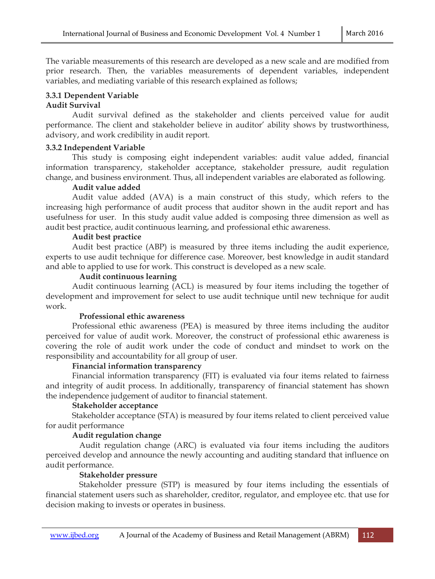The variable measurements of this research are developed as a new scale and are modified from prior research. Then, the variables measurements of dependent variables, independent variables, and mediating variable of this research explained as follows;

## **3.3.1 Dependent Variable**

## **Audit Survival**

Audit survival defined as the stakeholder and clients perceived value for audit performance. The client and stakeholder believe in auditor' ability shows by trustworthiness, advisory, and work credibility in audit report.

## **3.3.2 Independent Variable**

This study is composing eight independent variables: audit value added, financial information transparency, stakeholder acceptance, stakeholder pressure, audit regulation change, and business environment. Thus, all independent variables are elaborated as following.

### **Audit value added**

Audit value added (AVA) is a main construct of this study, which refers to the increasing high performance of audit process that auditor shown in the audit report and has usefulness for user. In this study audit value added is composing three dimension as well as audit best practice, audit continuous learning, and professional ethic awareness.

### **Audit best practice**

Audit best practice (ABP) is measured by three items including the audit experience, experts to use audit technique for difference case. Moreover, best knowledge in audit standard and able to applied to use for work. This construct is developed as a new scale.

### **Audit continuous learning**

Audit continuous learning (ACL) is measured by four items including the together of development and improvement for select to use audit technique until new technique for audit work.

## **Professional ethic awareness**

Professional ethic awareness (PEA) is measured by three items including the auditor perceived for value of audit work. Moreover, the construct of professional ethic awareness is covering the role of audit work under the code of conduct and mindset to work on the responsibility and accountability for all group of user.

## **Financial information transparency**

Financial information transparency (FIT) is evaluated via four items related to fairness and integrity of audit process. In additionally, transparency of financial statement has shown the independence judgement of auditor to financial statement.

## **Stakeholder acceptance**

Stakeholder acceptance (STA) is measured by four items related to client perceived value for audit performance

## **Audit regulation change**

 Audit regulation change (ARC) is evaluated via four items including the auditors perceived develop and announce the newly accounting and auditing standard that influence on audit performance.

## **Stakeholder pressure**

 Stakeholder pressure (STP) is measured by four items including the essentials of financial statement users such as shareholder, creditor, regulator, and employee etc. that use for decision making to invests or operates in business.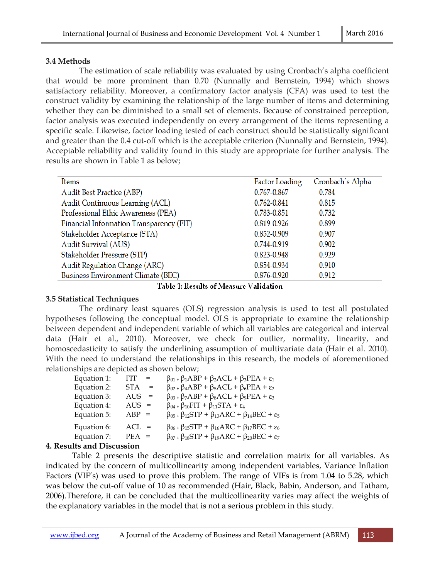## **3.4 Methods**

 The estimation of scale reliability was evaluated by using Cronbach's alpha coefficient that would be more prominent than 0.70 (Nunnally and Bernstein, 1994) which shows satisfactory reliability. Moreover, a confirmatory factor analysis (CFA) was used to test the construct validity by examining the relationship of the large number of items and determining whether they can be diminished to a small set of elements. Because of constrained perception, factor analysis was executed independently on every arrangement of the items representing a specific scale. Likewise, factor loading tested of each construct should be statistically significant and greater than the 0.4 cut-off which is the acceptable criterion (Nunnally and Bernstein, 1994). Acceptable reliability and validity found in this study are appropriate for further analysis. The results are shown in Table 1 as below;

| Items                                     | <b>Factor Loading</b> | Cronbach's Alpha |
|-------------------------------------------|-----------------------|------------------|
| <b>Audit Best Practice (ABP)</b>          | 0.767-0.867           | 0.784            |
| Audit Continuous Learning (ACL)           | 0.762-0.841           | 0.815            |
| Professional Ethic Awareness (PEA)        | 0.783-0.851           | 0.732            |
| Financial Information Transparency (FIT)  | 0.819-0.926           | 0.899            |
| Stakeholder Acceptance (STA)              | 0.852-0.909           | 0.907            |
| Audit Survival (AUS)                      | 0.744-0.919           | 0.902            |
| Stakeholder Pressure (STP)                | 0.823-0.948           | 0.929            |
| Audit Regulation Change (ARC)             | 0.854-0.934           | 0.910            |
| <b>Business Environment Climate (BEC)</b> | 0.876-0.920           | 0.912            |

Table 1: Results of Measure Validation

## **3.5 Statistical Techniques**

 The ordinary least squares (OLS) regression analysis is used to test all postulated hypotheses following the conceptual model. OLS is appropriate to examine the relationship between dependent and independent variable of which all variables are categorical and interval data (Hair et al., 2010). Moreover, we check for outlier, normality, linearity, and homoscedasticity to satisfy the underlining assumption of multivariate data (Hair et al. 2010). With the need to understand the relationships in this research, the models of aforementioned relationships are depicted as shown below;

| Equation 1: | FIT FILE<br>$=$   | $\beta_{01}$ + $\beta_1$ ABP + $\beta_2$ ACL + $\beta_3$ PEA + $\varepsilon_1$       |
|-------------|-------------------|--------------------------------------------------------------------------------------|
| Equation 2: | <b>STA</b><br>$=$ | $\beta_{02}$ + $\beta_4$ ABP + $\beta_5$ ACL + $\beta_6$ PEA + $\varepsilon_2$       |
| Equation 3: | AUS<br>$=$        | $\beta_{03}$ + $\beta_7$ ABP + $\beta_8$ ACL + $\beta_9$ PEA + $\varepsilon_3$       |
| Equation 4: | $AUS =$           | $\beta_{04}$ + $\beta_{10}$ FIT + $\beta_{11}$ STA + $\epsilon_4$                    |
| Equation 5: | $ABP =$           | $\beta_{05}$ + $\beta_{12}STP$ + $\beta_{13}ARC$ + $\beta_{14}BEC$ + $\varepsilon_5$ |
| Equation 6: | $ACL =$           | $\beta_{06}$ + $\beta_{15}STP$ + $\beta_{16}ARC$ + $\beta_{17}BEC$ + $\varepsilon_6$ |
| Equation 7: | $PEA =$           | $\beta_{07}$ + $\beta_{18}STP$ + $\beta_{19}ARC$ + $\beta_{20}BEC$ + $\varepsilon_7$ |
|             |                   |                                                                                      |

## **4. Results and Discussion**

Table 2 presents the descriptive statistic and correlation matrix for all variables. As indicated by the concern of multicollinearity among independent variables, Variance Inflation Factors (VIF's) was used to prove this problem. The range of VIFs is from 1.04 to 5.28, which was below the cut-off value of 10 as recommended (Hair, Black, Babin, Anderson, and Tatham, 2006).Therefore, it can be concluded that the multicollinearity varies may affect the weights of the explanatory variables in the model that is not a serious problem in this study.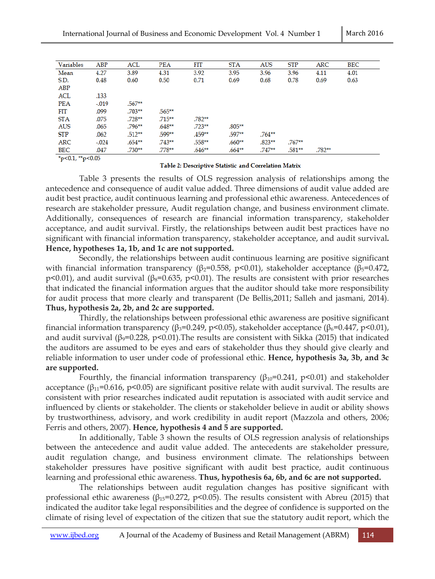| Variables  | ABP     | ACL       | <b>PEA</b> | FIT       | <b>STA</b> | <b>AUS</b> | <b>STP</b> | <b>ARC</b> | <b>BEC</b> |
|------------|---------|-----------|------------|-----------|------------|------------|------------|------------|------------|
| Mean       | 4.27    | 3.89      | 4.31       | 3.92      | 3.95       | 3.96       | 3.96       | 4.11       | 4.01       |
| S.D.       | 0.48    | 0.60      | 0.50       | 0.71      | 0.69       | 0.68       | 0.78       | 0.69       | 0.63       |
| ABP        |         |           |            |           |            |            |            |            |            |
| ACL        | .133    |           |            |           |            |            |            |            |            |
| <b>PEA</b> | $-.019$ | $.567**$  |            |           |            |            |            |            |            |
| FIT        | .099    | $.703***$ | $.565***$  |           |            |            |            |            |            |
| <b>STA</b> | .075    | .728**    | $.715***$  | $.782***$ |            |            |            |            |            |
| <b>AUS</b> | .065    | $.796***$ | .648**     | $.723***$ | $.805***$  |            |            |            |            |
| <b>STP</b> | .062    | $.512***$ | .599**     | .459**    | .597**     | $.764***$  |            |            |            |
| ARC        | $-.024$ | $.654***$ | $.743***$  | .558**    | $.660***$  | $.823***$  | $.767**$   |            |            |
| BEC        | .047    | $.730**$  | $.778***$  | $.646***$ | $.664***$  | $.747**$   | .581**     | $.782**$   |            |
|            |         |           |            |           |            |            |            |            |            |

\*p<0.1, \*\*p<0.05

#### Table 2: Descriptive Statistic and Correlation Matrix

 Table 3 presents the results of OLS regression analysis of relationships among the antecedence and consequence of audit value added. Three dimensions of audit value added are audit best practice, audit continuous learning and professional ethic awareness. Antecedences of research are stakeholder pressure, Audit regulation change, and business environment climate. Additionally, consequences of research are financial information transparency, stakeholder acceptance, and audit survival. Firstly, the relationships between audit best practices have no significant with financial information transparency, stakeholder acceptance, and audit survival**. Hence, hypotheses 1a, 1b, and 1c are not supported.**

 Secondly, the relationships between audit continuous learning are positive significant with financial information transparency (β<sub>2</sub>=0.558, p<0.01), stakeholder acceptance (β<sub>5</sub>=0.472, p<0.01), and audit survival ( $\beta_8$ =0.635, p<0.01). The results are consistent with prior researches that indicated the financial information argues that the auditor should take more responsibility for audit process that more clearly and transparent (De Bellis,2011; Salleh and jasmani, 2014). **Thus, hypothesis 2a, 2b, and 2c are supported.**

 Thirdly, the relationships between professional ethic awareness are positive significant financial information transparency (β<sub>3</sub>=0.249, p<0.05), stakeholder acceptance (β<sub>6</sub>=0.447, p<0.01), and audit survival  $(\beta=0.228, p<0.01)$ . The results are consistent with Sikka (2015) that indicated the auditors are assumed to be eyes and ears of stakeholder thus they should give clearly and reliable information to user under code of professional ethic. **Hence, hypothesis 3a, 3b, and 3c are supported.** 

Fourthly, the financial information transparency  $(\beta_{10}=0.241, p<0.01)$  and stakeholder acceptance ( $\beta_{11}=0.616$ , p<0.05) are significant positive relate with audit survival. The results are consistent with prior researches indicated audit reputation is associated with audit service and influenced by clients or stakeholder. The clients or stakeholder believe in audit or ability shows by trustworthiness, advisory, and work credibility in audit report (Mazzola and others, 2006; Ferris and others, 2007). **Hence, hypothesis 4 and 5 are supported.** 

In additionally, Table 3 shown the results of OLS regression analysis of relationships between the antecedence and audit value added. The antecedents are stakeholder pressure, audit regulation change, and business environment climate. The relationships between stakeholder pressures have positive significant with audit best practice, audit continuous learning and professional ethic awareness. **Thus, hypothesis 6a, 6b, and 6c are not supported.**

 The relationships between audit regulation changes has positive significant with professional ethic awareness ( $β_{15}=0.272$ ,  $p<0.05$ ). The results consistent with Abreu (2015) that indicated the auditor take legal responsibilities and the degree of confidence is supported on the climate of rising level of expectation of the citizen that sue the statutory audit report, which the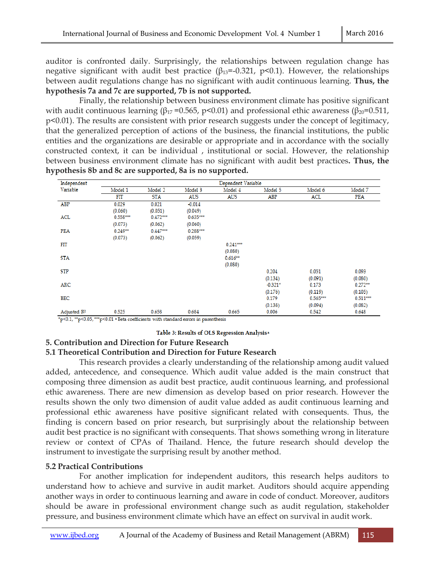auditor is confronted daily. Surprisingly, the relationships between regulation change has negative significant with audit best practice ( $\beta_{13} = -0.321$ , p<0.1). However, the relationships between audit regulations change has no significant with audit continuous learning. **Thus, the hypothesis 7a and 7c are supported, 7b is not supported.**

 Finally, the relationship between business environment climate has positive significant with audit continuous learning (β<sub>17</sub> = 0.565, p<0.01) and professional ethic awareness (β<sub>20</sub> = 0.511, p<0.01). The results are consistent with prior research suggests under the concept of legitimacy, that the generalized perception of actions of the business, the financial institutions, the public entities and the organizations are desirable or appropriate and in accordance with the socially constructed context, it can be individual , institutional or social. However, the relationship between business environment climate has no significant with audit best practices**. Thus, the hypothesis 8b and 8c are supported, 8a is no supported.**

| Independent             |            |            |            | Dependent Variable |           |            |            |
|-------------------------|------------|------------|------------|--------------------|-----------|------------|------------|
| Variable                | Model 1    | Model 2    | Model 3    | Model 4            | Model 5   | Model 6    | Model 7    |
|                         | FIT        | STA        | AUS        | <b>AUS</b>         | ABP       | ACL        | PEA        |
| ABP                     | 0.029      | 0.021      | $-0.014$   |                    |           |            |            |
|                         | (0.060)    | (0.051)    | (0.049)    |                    |           |            |            |
| ACL                     | $0.558***$ | $0.472***$ | $0.635***$ |                    |           |            |            |
|                         | (0.073)    | (0.062)    | (0.060)    |                    |           |            |            |
| PEA                     | $0.249**$  | $0.447***$ | $0.288***$ |                    |           |            |            |
|                         | (0.073)    | (0.062)    | (0.059)    |                    |           |            |            |
| FIT                     |            |            |            | $0.241***$         |           |            |            |
|                         |            |            |            | (0.080)            |           |            |            |
| <b>STA</b>              |            |            |            | $0.616**$          |           |            |            |
|                         |            |            |            | (0.080)            |           |            |            |
| <b>STP</b>              |            |            |            |                    | 0.204     | 0.051      | 0.093      |
|                         |            |            |            |                    | (0.134)   | (0.091)    | (0.080)    |
| ARC                     |            |            |            |                    | $-0.321*$ | 0.173      | $0.272**$  |
|                         |            |            |            |                    | (0.176)   | (0.119)    | (0.105)    |
| BEC                     |            |            |            |                    | 0.179     | $0.565***$ | $0.511***$ |
|                         |            |            |            |                    | (0.138)   | (0.094)    | (0.082)    |
| Adjusted R <sup>2</sup> | 0.525      | 0.658      | 0.684      | 0.665              | 0.006     | 0.542      | 0.648      |

\*p<0.1, \*\*p<0.05, \*\*\*p<0.01 \* Beta coefficients with standard errors in parenthesis

#### Table 3: Results of OLS Regression Analysis<sup>2</sup>

#### **5. Contribution and Direction for Future Research**

#### **5.1 Theoretical Contribution and Direction for Future Research**

 This research provides a clearly understanding of the relationship among audit valued added, antecedence, and consequence. Which audit value added is the main construct that composing three dimension as audit best practice, audit continuous learning, and professional ethic awareness. There are new dimension as develop based on prior research. However the results shown the only two dimension of audit value added as audit continuous learning and professional ethic awareness have positive significant related with consequents. Thus, the finding is concern based on prior research, but surprisingly about the relationship between audit best practice is no significant with consequents. That shows something wrong in literature review or context of CPAs of Thailand. Hence, the future research should develop the instrument to investigate the surprising result by another method.

#### **5.2 Practical Contributions**

 For another implication for independent auditors, this research helps auditors to understand how to achieve and survive in audit market. Auditors should acquire appending another ways in order to continuous learning and aware in code of conduct. Moreover, auditors should be aware in professional environment change such as audit regulation, stakeholder pressure, and business environment climate which have an effect on survival in audit work.